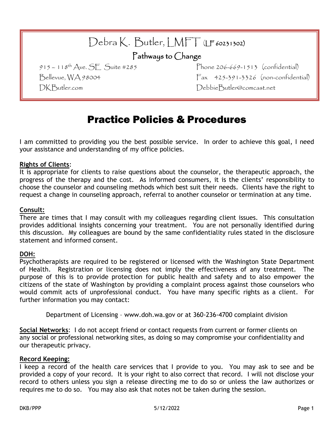| Debra K. Butler, LMFT (LF 60231302)<br>Pathways to Change |                                         |
|-----------------------------------------------------------|-----------------------------------------|
| 915 – 118 <sup>th</sup> Ave. SE Suite #285                | Phone $206 - 669 - 1513$ (confidential) |
| Bellevue, WA 98004                                        | Fax 425-391-3326 (non-confidential)     |
| DK Butler.com                                             | DebbieButler@comcast.net                |

# Practice Policies & Procedures

I am committed to providing you the best possible service. In order to achieve this goal, I need your assistance and understanding of my office policies.

#### **Rights of Clients**:

It is appropriate for clients to raise questions about the counselor, the therapeutic approach, the progress of the therapy and the cost. As informed consumers, it is the clients' responsibility to choose the counselor and counseling methods which best suit their needs. Clients have the right to request a change in counseling approach, referral to another counselor or termination at any time.

#### **Consult:**

There are times that I may consult with my colleagues regarding client issues. This consultation provides additional insights concerning your treatment. You are not personally identified during this discussion. My colleagues are bound by the same confidentiality rules stated in the disclosure statement and informed consent.

#### **DOH:**

Psychotherapists are required to be registered or licensed with the Washington State Department of Health. Registration or licensing does not imply the effectiveness of any treatment. The purpose of this is to provide protection for public health and safety and to also empower the citizens of the state of Washington by providing a complaint process against those counselors who would commit acts of unprofessional conduct. You have many specific rights as a client. For further information you may contact:

Department of Licensing – www.doh.wa.gov or at 360-236-4700 complaint division

**Social Networks**: I do not accept friend or contact requests from current or former clients on any social or professional networking sites, as doing so may compromise your confidentiality and our therapeutic privacy.

#### **Record Keeping:**

I keep a record of the health care services that I provide to you. You may ask to see and be provided a copy of your record. It is your right to also correct that record. I will not disclose your record to others unless you sign a release directing me to do so or unless the law authorizes or requires me to do so. You may also ask that notes not be taken during the session.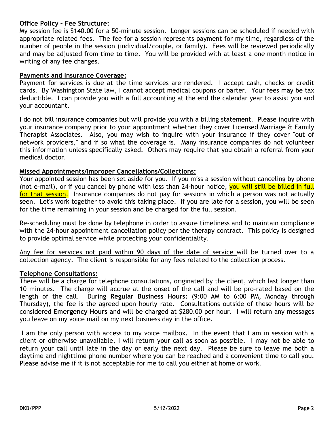# **Office Policy – Fee Structure:**

My session fee is \$140.00 for a 50-minute session. Longer sessions can be scheduled if needed with appropriate related fees. The fee for a session represents payment for my time, regardless of the number of people in the session (individual/couple, or family). Fees will be reviewed periodically and may be adjusted from time to time. You will be provided with at least a one month notice in writing of any fee changes.

### **Payments and Insurance Coverage:**

Payment for services is due at the time services are rendered. I accept cash, checks or credit cards. By Washington State law, I cannot accept medical coupons or barter. Your fees may be tax deductible. I can provide you with a full accounting at the end the calendar year to assist you and your accountant.

I do not bill insurance companies but will provide you with a billing statement. Please inquire with your insurance company prior to your appointment whether they cover Licensed Marriage & Family Therapist Associates. Also, you may wish to inquire with your insurance if they cover "out of network providers," and if so what the coverage is. Many insurance companies do not volunteer this information unless specifically asked. Others may require that you obtain a referral from your medical doctor.

# **Missed Appointments/Improper Cancellations/Collections:**

Your appointed session has been set aside for you. If you miss a session without canceling by phone (not e-mail), or if you cancel by phone with less than 24-hour notice, you will still be billed in full for that session. Insurance companies do not pay for sessions in which a person was not actually seen. Let's work together to avoid this taking place. If you are late for a session, you will be seen for the time remaining in your session and be charged for the full session.

Re-scheduling must be done by telephone in order to assure timeliness and to maintain compliance with the 24-hour appointment cancellation policy per the therapy contract. This policy is designed to provide optimal service while protecting your confidentiality.

Any fee for services not paid within 90 days of the date of service will be turned over to a collection agency. The client is responsible for any fees related to the collection process.

#### **Telephone Consultations:**

There will be a charge for telephone consultations, originated by the client, which last longer than 10 minutes. The charge will accrue at the onset of the call and will be pro-rated based on the length of the call. During **Regular Business Hours:** (9:00 AM to 6:00 PM, Monday through Thursday), the fee is the agreed upon hourly rate. Consultations outside of these hours will be considered **Emergency Hours** and will be charged at \$280.00 per hour. I will return any messages you leave on my voice mail on my next business day in the office.

I am the only person with access to my voice mailbox. In the event that I am in session with a client or otherwise unavailable, I will return your call as soon as possible. I may not be able to return your call until late in the day or early the next day. Please be sure to leave me both a daytime and nighttime phone number where you can be reached and a convenient time to call you. Please advise me if it is not acceptable for me to call you either at home or work.